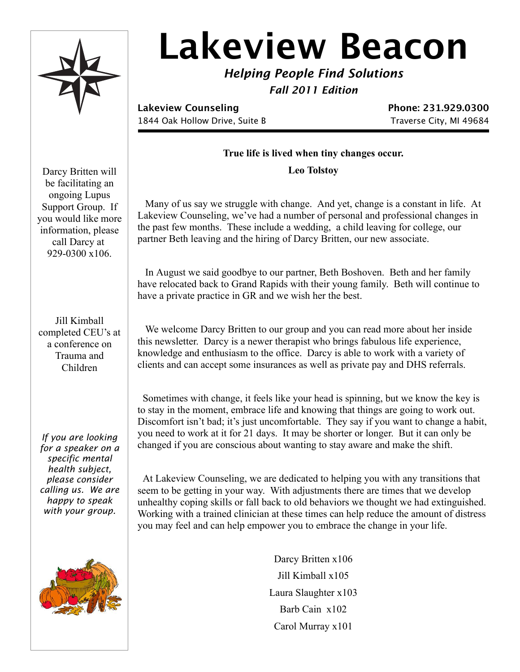

# **Lakeview Beacon**

*Helping People Find Solutions Fall 2011 Edition*

**Lakeview Counseling Phone: 231.929.0300** 1844 Oak Hollow Drive, Suite B Traverse City, MI 49684

## **True life is lived when tiny changes occur.**

**Leo Tolstoy**

 Many of us say we struggle with change. And yet, change is a constant in life. At Lakeview Counseling, we've had a number of personal and professional changes in the past few months. These include a wedding, a child leaving for college, our partner Beth leaving and the hiring of Darcy Britten, our new associate.

 In August we said goodbye to our partner, Beth Boshoven. Beth and her family have relocated back to Grand Rapids with their young family. Beth will continue to have a private practice in GR and we wish her the best.

 We welcome Darcy Britten to our group and you can read more about her inside this newsletter. Darcy is a newer therapist who brings fabulous life experience, knowledge and enthusiasm to the office. Darcy is able to work with a variety of clients and can accept some insurances as well as private pay and DHS referrals.

 Sometimes with change, it feels like your head is spinning, but we know the key is to stay in the moment, embrace life and knowing that things are going to work out. Discomfort isn't bad; it's just uncomfortable. They say if you want to change a habit, you need to work at it for 21 days. It may be shorter or longer. But it can only be changed if you are conscious about wanting to stay aware and make the shift.

 At Lakeview Counseling, we are dedicated to helping you with any transitions that seem to be getting in your way. With adjustments there are times that we develop unhealthy coping skills or fall back to old behaviors we thought we had extinguished. Working with a trained clinician at these times can help reduce the amount of distress you may feel and can help empower you to embrace the change in your life.

> Darcy Britten x106 Jill Kimball x105 Laura Slaughter x103 Barb Cain x102 Carol Murray x101

Darcy Britten will be facilitating an ongoing Lupus Support Group. If you would like more information, please call Darcy at 929-0300 x106.

Jill Kimball completed CEU's at a conference on Trauma and Children

*If you are looking for a speaker on a specific mental health subject, please consider calling us. We are happy to speak with your group.*

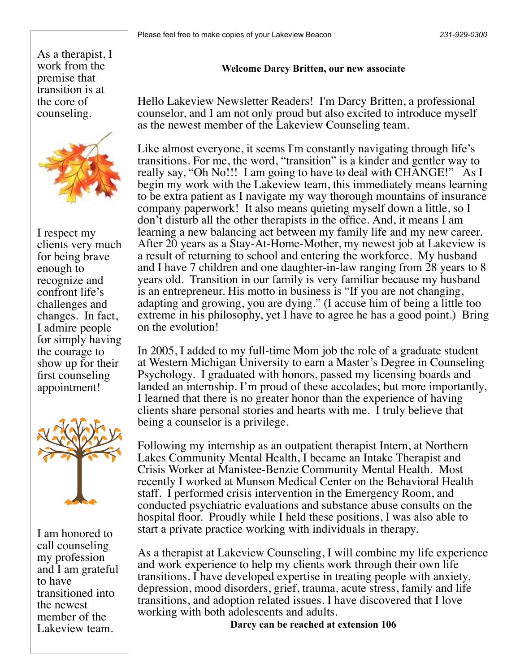As a therapist, I work from the premise that transition is at the core of counseling.



I respect my clients very much for being brave enough to recognize and confront life's challenges and changes. In fact, I admire people for simply having the courage to show up for their first counseling appointment!



I am honored to call counseling my profession and I am grateful to have transitioned into the newest member of the Lakeview team.

### **Welcome Darcy Britten, our new associate**

Hello Lakeview Newsletter Readers! I'm Darcy Britten, a professional counselor, and I am not only proud but also excited to introduce myself as the newest member of the Lakeview Counseling team.

Like almost everyone, it seems I'm constantly navigating through life's transitions. For me, the word, "transition" is a kinder and gentler way to really say, "Oh No!!! I am going to have to deal with CHANGE!" As I begin my work with the Lakeview team, this immediately means learning to be extra patient as I navigate my way thorough mountains of insurance company paperwork! It also means quieting myself down a little, so I don't disturb all the other therapists in the office. And, it means I am learning a new balancing act between my family life and my new career. After 20 years as a Stay-At-Home-Mother, my newest job at Lakeview is a result of returning to school and entering the workforce. My husband and I have 7 children and one daughter-in-law ranging from 28 years to 8 years old. Transition in our family is very familiar because my husband is an entrepreneur. His motto in business is "If you are not changing, adapting and growing, you are dying." (I accuse him of being a little too extreme in his philosophy, yet I have to agree he has a good point.) Bring on the evolution!

In 2005, I added to my full-time Mom job the role of a graduate student at Western Michigan University to earn a Master's Degree in Counseling Psychology. I graduated with honors, passed my licensing boards and landed an internship. I'm proud of these accolades; but more importantly, I learned that there is no greater honor than the experience of having clients share personal stories and hearts with me. I truly believe that being a counselor is a privilege.

Following my internship as an outpatient therapist Intern, at Northern Lakes Community Mental Health, I became an Intake Therapist and Crisis Worker at Manistee-Benzie Community Mental Health. Most recently I worked at Munson Medical Center on the Behavioral Health staff. I performed crisis intervention in the Emergency Room, and conducted psychiatric evaluations and substance abuse consults on the hospital floor. Proudly while I held these positions, I was also able to start a private practice working with individuals in therapy.

As a therapist at Lakeview Counseling, I will combine my life experience and work experience to help my clients work through their own life transitions. I have developed expertise in treating people with anxiety, depression, mood disorders, grief, trauma, acute stress, family and life transitions, and adoption related issues. I have discovered that I love working with both adolescents and adults.

**Darcy can be reached at extension 106**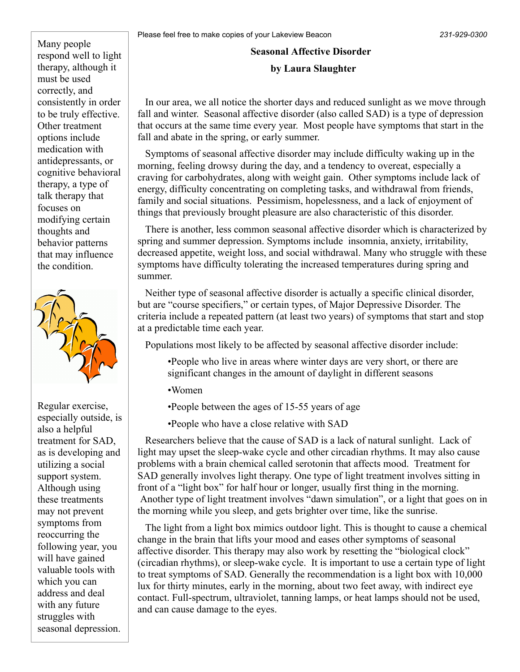Many people respond well to light therapy, although it must be used correctly, and consistently in order to be truly effective. Other treatment options include medication with antidepressants, or cognitive behavioral therapy, a type of talk therapy that focuses on modifying certain thoughts and behavior patterns that may influence the condition.



Regular exercise, especially outside, is also a helpful treatment for SAD, as is developing and utilizing a social support system. Although using these treatments may not prevent symptoms from reoccurring the following year, you will have gained valuable tools with which you can address and deal with any future struggles with seasonal depression.

# **Seasonal Affective Disorder**

## **by Laura Slaughter**

 In our area, we all notice the shorter days and reduced sunlight as we move through fall and winter. Seasonal affective disorder (also called SAD) is a type of depression that occurs at the same time every year. Most people have symptoms that start in the fall and abate in the spring, or early summer.

 Symptoms of seasonal affective disorder may include difficulty waking up in the morning, feeling drowsy during the day, and a tendency to overeat, especially a craving for carbohydrates, along with weight gain. Other symptoms include lack of energy, difficulty concentrating on completing tasks, and withdrawal from friends, family and social situations. Pessimism, hopelessness, and a lack of enjoyment of things that previously brought pleasure are also characteristic of this disorder.

 There is another, less common seasonal affective disorder which is characterized by spring and summer depression. Symptoms include insomnia, anxiety, irritability, decreased appetite, weight loss, and social withdrawal. Many who struggle with these symptoms have difficulty tolerating the increased temperatures during spring and summer.

 Neither type of seasonal affective disorder is actually a specific clinical disorder, but are "course specifiers," or certain types, of Major Depressive Disorder. The criteria include a repeated pattern (at least two years) of symptoms that start and stop at a predictable time each year.

Populations most likely to be affected by seasonal affective disorder include:

- •People who live in areas where winter days are very short, or there are significant changes in the amount of daylight in different seasons
- •Women

•People between the ages of 15-55 years of age

•People who have a close relative with SAD

 Researchers believe that the cause of SAD is a lack of natural sunlight. Lack of light may upset the sleep-wake cycle and other circadian rhythms. It may also cause problems with a brain chemical called serotonin that affects mood. Treatment for SAD generally involves light therapy. One type of light treatment involves sitting in front of a "light box" for half hour or longer, usually first thing in the morning. Another type of light treatment involves "dawn simulation", or a light that goes on in the morning while you sleep, and gets brighter over time, like the sunrise.

 The light from a light box mimics outdoor light. This is thought to cause a chemical change in the brain that lifts your mood and eases other symptoms of seasonal affective disorder. This therapy may also work by resetting the "biological clock" (circadian rhythms), or sleep-wake cycle. It is important to use a certain type of light to treat symptoms of SAD. Generally the recommendation is a light box with 10,000 lux for thirty minutes, early in the morning, about two feet away, with indirect eye contact. Full-spectrum, ultraviolet, tanning lamps, or heat lamps should not be used, and can cause damage to the eyes.